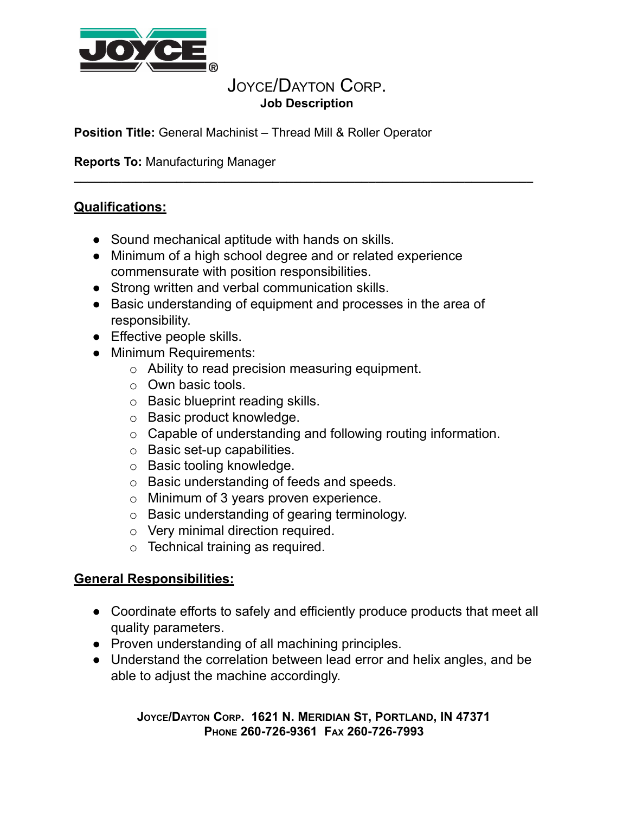

## JOYCE/DAYTON CORP. **Job Description**

**\_\_\_\_\_\_\_\_\_\_\_\_\_\_\_\_\_\_\_\_\_\_\_\_\_\_\_\_\_\_\_\_\_\_\_\_\_\_\_\_\_\_\_\_\_\_\_\_\_\_\_\_\_\_\_\_\_\_\_\_\_\_\_\_\_\_\_** 

**Position Title:** General Machinist – Thread Mill & Roller Operator

**Reports To:** Manufacturing Manager

## **Qualifications:**

- Sound mechanical aptitude with hands on skills.
- Minimum of a high school degree and or related experience commensurate with position responsibilities.
- Strong written and verbal communication skills.
- Basic understanding of equipment and processes in the area of responsibility.
- Effective people skills.
- Minimum Requirements:
	- o Ability to read precision measuring equipment.
	- o Own basic tools.
	- o Basic blueprint reading skills.
	- o Basic product knowledge.
	- o Capable of understanding and following routing information.
	- o Basic set-up capabilities.
	- o Basic tooling knowledge.
	- o Basic understanding of feeds and speeds.
	- o Minimum of 3 years proven experience.
	- o Basic understanding of gearing terminology.
	- o Very minimal direction required.
	- $\circ$  Technical training as required.

## **General Responsibilities:**

- Coordinate efforts to safely and efficiently produce products that meet all quality parameters.
- Proven understanding of all machining principles.
- Understand the correlation between lead error and helix angles, and be able to adjust the machine accordingly.

**J OYCE/D AYTON C ORP. 1621 N. M ERIDIAN S T, P ORTLAND, IN 47371 P HONE 260-726-9361 F AX 260-726-7993**